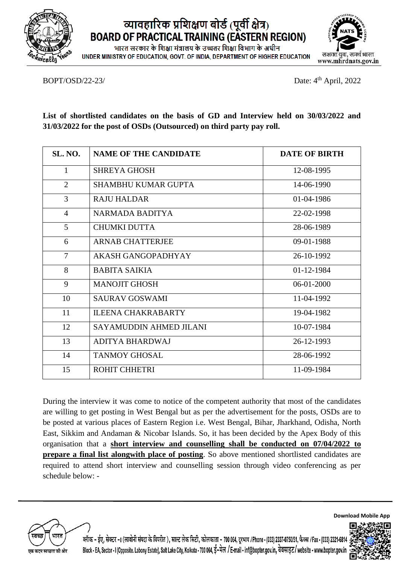

## व्यावहारिक प्रशिक्षण बोर्ड (पूर्वी क्षेत्र) **BOARD OF PRACTICAL TRAINING (EASTERN REGION)**

भारत सरकार के शिक्षा मंत्रालय के उच्चतर शिक्षा विभाग के अधीन UNDER MINISTRY OF EDUCATION, GOVT, OF INDIA, DEPARTMENT OF HIGHER EDUCATION



BOPT/OSD/22-23/

Date:  $4<sup>th</sup>$  April, 2022

**List of shortlisted candidates on the basis of GD and Interview held on 30/03/2022 and 31/03/2022 for the post of OSDs (Outsourced) on third party pay roll.**

| <b>SL. NO.</b> | <b>NAME OF THE CANDIDATE</b> | <b>DATE OF BIRTH</b> |
|----------------|------------------------------|----------------------|
| $\mathbf{1}$   | <b>SHREYA GHOSH</b>          | 12-08-1995           |
| $\overline{2}$ | SHAMBHU KUMAR GUPTA          | 14-06-1990           |
| 3              | <b>RAJU HALDAR</b>           | 01-04-1986           |
| $\overline{4}$ | <b>NARMADA BADITYA</b>       | 22-02-1998           |
| 5              | CHUMKI DUTTA                 | 28-06-1989           |
| 6              | <b>ARNAB CHATTERJEE</b>      | 09-01-1988           |
| $\tau$         | AKASH GANGOPADHYAY           | 26-10-1992           |
| 8              | <b>BABITA SAIKIA</b>         | 01-12-1984           |
| 9              | <b>MANOJIT GHOSH</b>         | $06-01-2000$         |
| 10             | <b>SAURAV GOSWAMI</b>        | 11-04-1992           |
| 11             | <b>ILEENA CHAKRABARTY</b>    | 19-04-1982           |
| 12             | SAYAMUDDIN AHMED JILANI      | 10-07-1984           |
| 13             | <b>ADITYA BHARDWAJ</b>       | 26-12-1993           |
| 14             | <b>TANMOY GHOSAL</b>         | 28-06-1992           |
| 15             | <b>ROHIT CHHETRI</b>         | 11-09-1984           |

During the interview it was come to notice of the competent authority that most of the candidates are willing to get posting in West Bengal but as per the advertisement for the posts, OSDs are to be posted at various places of Eastern Region i.e. West Bengal, Bihar, Jharkhand, Odisha, North East, Sikkim and Andaman & Nicobar Islands. So, it has been decided by the Apex Body of this organisation that a **short interview and counselling shall be conducted on 07/04/2022 to prepare a final list alongwith place of posting**. So above mentioned shortlisted candidates are required to attend short interview and counselling session through video conferencing as per schedule below: -



ल्नॉक - ईए, सेक्टर -1 (लावोनी संपदा के विपरीत ), साल्ट लेक सिटी, कोलकाता - 700 064, दरभाष /Phone - (033) 2337-0750/51, फैक्स /Fax - (033) 2321-6814 Block - EA, Sector - I (Opposite, Labony Estate), Salt Lake City, Kolkata - 700 064, ई-मेल / E-mail - inf@bopter.gov.in, वेबसाइट/website - www.bopter.gov.in